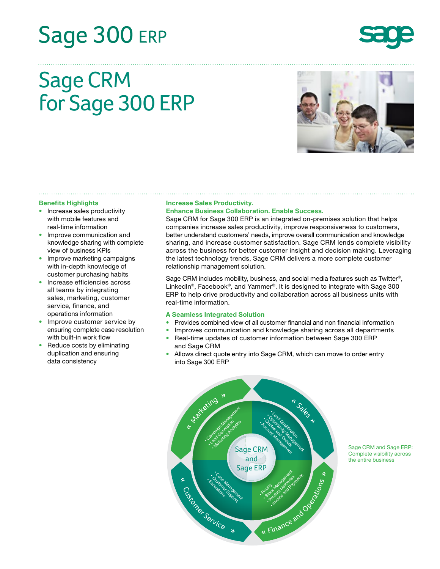# Sage 300 ERP



## Sage CRM for Sage 300 ERP



#### **Benefits Highlights**

- Increase sales productivity with mobile features and real-time information
- Improve communication and knowledge sharing with complete view of business KPIs
- Improve marketing campaigns with in-depth knowledge of customer purchasing habits
- Increase efficiencies across all teams by integrating sales, marketing, customer service, finance, and operations information
- Improve customer service by ensuring complete case resolution with built-in work flow
- Reduce costs by eliminating duplication and ensuring data consistency

#### **Increase Sales Productivity.**

#### **Enhance Business Collaboration. Enable Success.**

Sage CRM for Sage 300 ERP is an integrated on-premises solution that helps companies increase sales productivity, improve responsiveness to customers, better understand customers' needs, improve overall communication and knowledge sharing, and increase customer satisfaction. Sage CRM lends complete visibility across the business for better customer insight and decision making. Leveraging the latest technology trends, Sage CRM delivers a more complete customer relationship management solution.

Sage CRM includes mobility, business, and social media features such as Twitter®, LinkedIn<sup>®</sup>, Facebook<sup>®</sup>, and Yammer<sup>®</sup>. It is designed to integrate with Sage 300 ERP to help drive productivity and collaboration across all business units with real-time information.

#### **A Seamless Integrated Solution**

- Provides combined view of all customer financial and non financial information
- Improves communication and knowledge sharing across all departments
- Real-time updates of customer information between Sage 300 ERP and Sage CRM
- Allows direct quote entry into Sage CRM, which can move to order entry into Sage 300 ERP



Sage CRM and Sage ERP: Complete visibility across the entire business